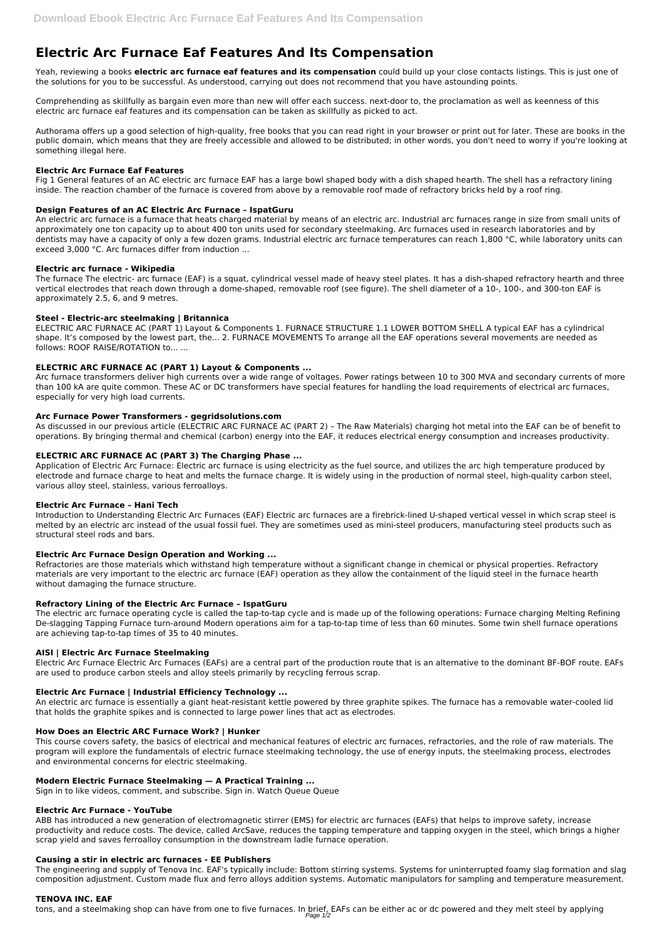# **Electric Arc Furnace Eaf Features And Its Compensation**

Yeah, reviewing a books **electric arc furnace eaf features and its compensation** could build up your close contacts listings. This is just one of the solutions for you to be successful. As understood, carrying out does not recommend that you have astounding points.

Comprehending as skillfully as bargain even more than new will offer each success. next-door to, the proclamation as well as keenness of this electric arc furnace eaf features and its compensation can be taken as skillfully as picked to act.

Authorama offers up a good selection of high-quality, free books that you can read right in your browser or print out for later. These are books in the public domain, which means that they are freely accessible and allowed to be distributed; in other words, you don't need to worry if you're looking at something illegal here.

#### **Electric Arc Furnace Eaf Features**

Fig 1 General features of an AC electric arc furnace EAF has a large bowl shaped body with a dish shaped hearth. The shell has a refractory lining inside. The reaction chamber of the furnace is covered from above by a removable roof made of refractory bricks held by a roof ring.

## **Design Features of an AC Electric Arc Furnace – IspatGuru**

An electric arc furnace is a furnace that heats charged material by means of an electric arc. Industrial arc furnaces range in size from small units of approximately one ton capacity up to about 400 ton units used for secondary steelmaking. Arc furnaces used in research laboratories and by dentists may have a capacity of only a few dozen grams. Industrial electric arc furnace temperatures can reach 1,800 °C, while laboratory units can exceed 3,000 °C. Arc furnaces differ from induction ...

## **Electric arc furnace - Wikipedia**

The furnace The electric- arc furnace (EAF) is a squat, cylindrical vessel made of heavy steel plates. It has a dish-shaped refractory hearth and three vertical electrodes that reach down through a dome-shaped, removable roof (see figure). The shell diameter of a 10-, 100-, and 300-ton EAF is approximately 2.5, 6, and 9 metres.

## **Steel - Electric-arc steelmaking | Britannica**

ELECTRIC ARC FURNACE AC (PART 1) Layout & Components 1. FURNACE STRUCTURE 1.1 LOWER BOTTOM SHELL A typical EAF has a cylindrical shape. It's composed by the lowest part, the... 2. FURNACE MOVEMENTS To arrange all the EAF operations several movements are needed as follows: ROOF RAISE/ROTATION to... ...

# **ELECTRIC ARC FURNACE AC (PART 1) Layout & Components ...**

Arc furnace transformers deliver high currents over a wide range of voltages. Power ratings between 10 to 300 MVA and secondary currents of more than 100 kA are quite common. These AC or DC transformers have special features for handling the load requirements of electrical arc furnaces, especially for very high load currents.

## **Arc Furnace Power Transformers - gegridsolutions.com**

As discussed in our previous article (ELECTRIC ARC FURNACE AC (PART 2) – The Raw Materials) charging hot metal into the EAF can be of benefit to operations. By bringing thermal and chemical (carbon) energy into the EAF, it reduces electrical energy consumption and increases productivity.

# **ELECTRIC ARC FURNACE AC (PART 3) The Charging Phase ...**

tons, and a steelmaking shop can have from one to five furnaces. In brief, EAFs can be either ac or dc powered and they melt steel by applying Page 1/2

Application of Electric Arc Furnace: Electric arc furnace is using electricity as the fuel source, and utilizes the arc high temperature produced by electrode and furnace charge to heat and melts the furnace charge. It is widely using in the production of normal steel, high-quality carbon steel, various alloy steel, stainless, various ferroalloys.

#### **Electric Arc Furnace – Hani Tech**

Introduction to Understanding Electric Arc Furnaces (EAF) Electric arc furnaces are a firebrick-lined U-shaped vertical vessel in which scrap steel is melted by an electric arc instead of the usual fossil fuel. They are sometimes used as mini-steel producers, manufacturing steel products such as structural steel rods and bars.

#### **Electric Arc Furnace Design Operation and Working ...**

Refractories are those materials which withstand high temperature without a significant change in chemical or physical properties. Refractory materials are very important to the electric arc furnace (EAF) operation as they allow the containment of the liquid steel in the furnace hearth without damaging the furnace structure.

#### **Refractory Lining of the Electric Arc Furnace – IspatGuru**

The electric arc furnace operating cycle is called the tap-to-tap cycle and is made up of the following operations: Furnace charging Melting Refining De-slagging Tapping Furnace turn-around Modern operations aim for a tap-to-tap time of less than 60 minutes. Some twin shell furnace operations are achieving tap-to-tap times of 35 to 40 minutes.

#### **AISI | Electric Arc Furnace Steelmaking**

Electric Arc Furnace Electric Arc Furnaces (EAFs) are a central part of the production route that is an alternative to the dominant BF-BOF route. EAFs are used to produce carbon steels and alloy steels primarily by recycling ferrous scrap.

#### **Electric Arc Furnace | Industrial Efficiency Technology ...**

An electric arc furnace is essentially a giant heat-resistant kettle powered by three graphite spikes. The furnace has a removable water-cooled lid

that holds the graphite spikes and is connected to large power lines that act as electrodes.

#### **How Does an Electric ARC Furnace Work? | Hunker**

This course covers safety, the basics of electrical and mechanical features of electric arc furnaces, refractories, and the role of raw materials. The program will explore the fundamentals of electric furnace steelmaking technology, the use of energy inputs, the steelmaking process, electrodes and environmental concerns for electric steelmaking.

#### **Modern Electric Furnace Steelmaking — A Practical Training ...**

Sign in to like videos, comment, and subscribe. Sign in. Watch Queue Queue

#### **Electric Arc Furnace - YouTube**

ABB has introduced a new generation of electromagnetic stirrer (EMS) for electric arc furnaces (EAFs) that helps to improve safety, increase productivity and reduce costs. The device, called ArcSave, reduces the tapping temperature and tapping oxygen in the steel, which brings a higher scrap yield and saves ferroalloy consumption in the downstream ladle furnace operation.

#### **Causing a stir in electric arc furnaces - EE Publishers**

The engineering and supply of Tenova Inc. EAF's typically include: Bottom stirring systems. Systems for uninterrupted foamy slag formation and slag composition adjustment. Custom made flux and ferro alloys addition systems. Automatic manipulators for sampling and temperature measurement.

#### **TENOVA INC. EAF**